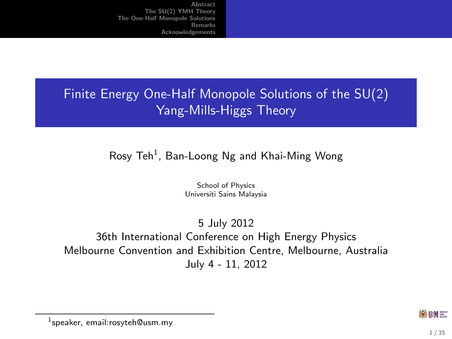# Finite Energy One-Half Monopole Solutions of the SU(2) Yang-Mills-Higgs Theory

#### $R$ osy Teh $^1$ , Ban-Loong Ng and Khai-Ming Wong

School of Physics Universiti Sains Malaysia

5 July 2012 36th International Conference on High Energy Physics Melbourne Convention and Exhibition Centre, Melbourne, Australia July 4 - 11, 2012

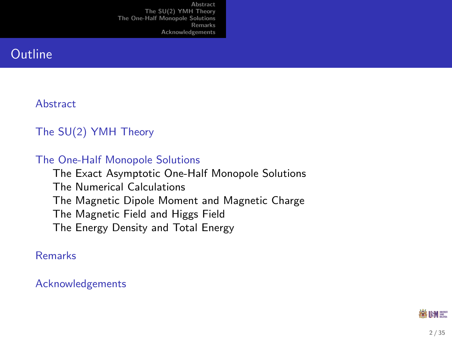### **Outline**

#### **[Abstract](#page-2-0)**

#### [The SU\(2\) YMH Theory](#page-3-0)

#### [The One-Half Monopole Solutions](#page-13-0)

[The Exact Asymptotic One-Half Monopole Solutions](#page-13-0) [The Numerical Calculations](#page-16-0) [The Magnetic Dipole Moment and Magnetic Charge](#page-19-0) [The Magnetic Field and Higgs Field](#page-24-0) [The Energy Density and Total Energy](#page-28-0)

#### [Remarks](#page-30-0)

#### [Acknowledgements](#page-31-0)

#### 3第1HM 第二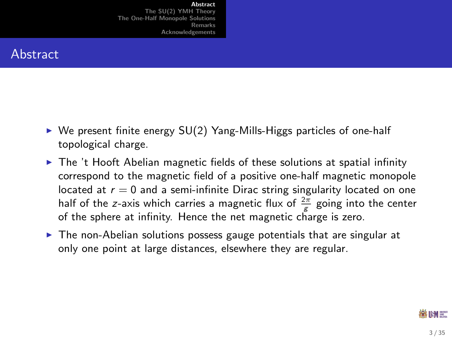### Abstract

- $\triangleright$  We present finite energy SU(2) Yang-Mills-Higgs particles of one-half topological charge.
- $\triangleright$  The 't Hooft Abelian magnetic fields of these solutions at spatial infinity correspond to the magnetic field of a positive one-half magnetic monopole located at  $r = 0$  and a semi-infinite Dirac string singularity located on one half of the z-axis which carries a magnetic flux of  $\frac{2\pi}{\mathcal{E}}$  going into the center of the sphere at infinity. Hence the net magnetic charge is zero.
- <span id="page-2-0"></span> $\triangleright$  The non-Abelian solutions possess gauge potentials that are singular at only one point at large distances, elsewhere they are regular.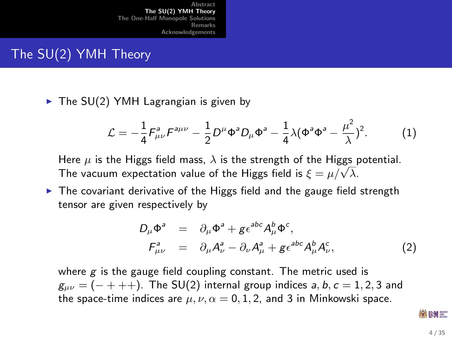# The SU(2) YMH Theory

 $\triangleright$  The SU(2) YMH Lagrangian is given by

$$
\mathcal{L} = -\frac{1}{4} F_{\mu\nu}^a F^{a\mu\nu} - \frac{1}{2} D^{\mu} \Phi^a D_{\mu} \Phi^a - \frac{1}{4} \lambda (\Phi^a \Phi^a - \frac{\mu^2}{\lambda})^2. \tag{1}
$$

Here  $\mu$  is the Higgs field mass,  $\lambda$  is the strength of the Higgs potential. πere  $\mu$  is the riggs field mass,  $\lambda$  is the strength of the riggs field is  $\xi = \mu/\sqrt{\lambda}$ .

 $\triangleright$  The covariant derivative of the Higgs field and the gauge field strength tensor are given respectively by

$$
D_{\mu}\Phi^{a} = \partial_{\mu}\Phi^{a} + g\epsilon^{abc}A_{\mu}^{b}\Phi^{c},
$$
  
\n
$$
F_{\mu\nu}^{a} = \partial_{\mu}A_{\nu}^{a} - \partial_{\nu}A_{\mu}^{a} + g\epsilon^{abc}A_{\mu}^{b}A_{\nu}^{c},
$$
\n(2)

where  $g$  is the gauge field coupling constant. The metric used is  $g_{\mu\nu} = (- + + +)$ . The SU(2) internal group indices a, b,  $c = 1, 2, 3$  and the space-time indices are  $\mu$ ,  $\nu$ ,  $\alpha = 0, 1, 2$ , and 3 in Minkowski space.

<span id="page-3-1"></span><span id="page-3-0"></span>88 IHM 387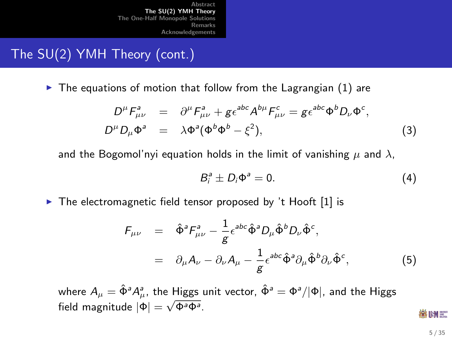# The SU(2) YMH Theory (cont.)

 $\blacktriangleright$  The equations of motion that follow from the Lagrangian [\(1\)](#page-3-1) are

$$
D^{\mu}F_{\mu\nu}^{a} = \partial^{\mu}F_{\mu\nu}^{a} + g\epsilon^{abc}A^{b\mu}F_{\mu\nu}^{c} = g\epsilon^{abc}\Phi^{b}D_{\nu}\Phi^{c},
$$
  
\n
$$
D^{\mu}D_{\mu}\Phi^{a} = \lambda\Phi^{a}(\Phi^{b}\Phi^{b} - \xi^{2}),
$$
\n(3)

and the Bogomol'nyi equation holds in the limit of vanishing  $\mu$  and  $\lambda$ ,

<span id="page-4-1"></span><span id="page-4-0"></span>
$$
B_i^a \pm D_i \Phi^a = 0. \tag{4}
$$

 $\triangleright$  The electromagnetic field tensor proposed by 't Hooft [\[1\]](#page-32-0) is

$$
F_{\mu\nu} = \hat{\Phi}^a F^a_{\mu\nu} - \frac{1}{g} \epsilon^{abc} \hat{\Phi}^a D_\mu \hat{\Phi}^b D_\nu \hat{\Phi}^c,
$$
  

$$
= \partial_\mu A_\nu - \partial_\nu A_\mu - \frac{1}{g} \epsilon^{abc} \hat{\Phi}^a \partial_\mu \hat{\Phi}^b \partial_\nu \hat{\Phi}^c,
$$
(5)

where  $A_{\mu} = \hat{\Phi}^a A_{\mu}^a$ , the Higgs unit vector,  $\hat{\Phi}^a = \Phi^a / |\Phi|$ , and the Higgs field magnitude  $|\Phi| = \sqrt{\Phi^a \Phi^a}$ .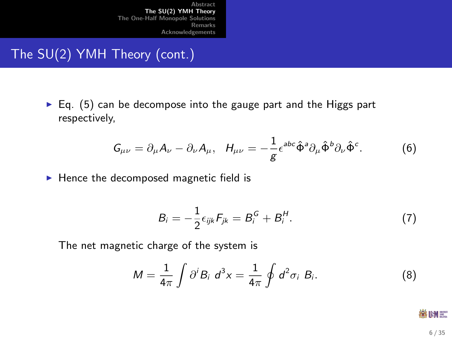# The SU(2) YMH Theory (cont.)

 $\blacktriangleright$  Eq. [\(5\)](#page-4-0) can be decompose into the gauge part and the Higgs part respectively,

$$
G_{\mu\nu} = \partial_{\mu} A_{\nu} - \partial_{\nu} A_{\mu}, \quad H_{\mu\nu} = -\frac{1}{g} \epsilon^{abc} \hat{\Phi}^a \partial_{\mu} \hat{\Phi}^b \partial_{\nu} \hat{\Phi}^c. \tag{6}
$$

 $\blacktriangleright$  Hence the decomposed magnetic field is

<span id="page-5-0"></span>
$$
B_i = -\frac{1}{2}\epsilon_{ijk}F_{jk} = B_i^G + B_i^H. \tag{7}
$$

The net magnetic charge of the system is

$$
M = \frac{1}{4\pi} \int \partial^i B_i \ d^3 x = \frac{1}{4\pi} \oint d^2 \sigma_i B_i.
$$
 (8)

<span id="page-5-1"></span>- 激明

6 / 35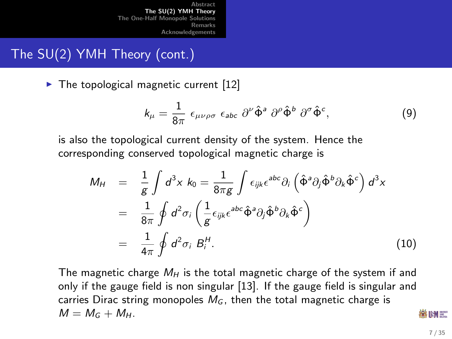## The SU(2) YMH Theory (cont.)

 $\triangleright$  The topological magnetic current [\[12\]](#page-33-0)

$$
k_{\mu} = \frac{1}{8\pi} \epsilon_{\mu\nu\rho\sigma} \epsilon_{abc} \partial^{\nu} \hat{\Phi}^{a} \partial^{\rho} \hat{\Phi}^{b} \partial^{\sigma} \hat{\Phi}^{c}, \qquad (9)
$$

is also the topological current density of the system. Hence the corresponding conserved topological magnetic charge is

$$
M_H = \frac{1}{g} \int d^3x \ k_0 = \frac{1}{8\pi g} \int \epsilon_{ijk} \epsilon^{abc} \partial_i \left( \hat{\Phi}^a \partial_j \hat{\Phi}^b \partial_k \hat{\Phi}^c \right) d^3x
$$
  
\n
$$
= \frac{1}{8\pi} \oint d^2 \sigma_i \left( \frac{1}{g} \epsilon_{ijk} \epsilon^{abc} \hat{\Phi}^a \partial_j \hat{\Phi}^b \partial_k \hat{\Phi}^c \right)
$$
  
\n
$$
= \frac{1}{4\pi} \oint d^2 \sigma_i B_i^H.
$$
 (10)

The magnetic charge  $M_H$  is the total magnetic charge of the system if and only if the gauge field is non singular [\[13\]](#page-33-1). If the gauge field is singular and carries Dirac string monopoles  $M_G$ , then the total magnetic charge is  $M = M_G + M_H$ .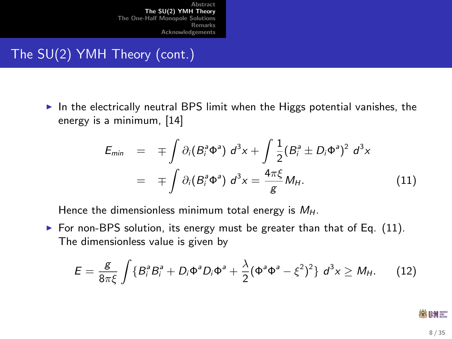# The SU(2) YMH Theory (cont.)

In the electrically neutral BPS limit when the Higgs potential vanishes, the energy is a minimum, [\[14\]](#page-34-0)

$$
E_{min} = \mp \int \partial_i (B_i^a \Phi^a) d^3x + \int \frac{1}{2} (B_i^a \pm D_i \Phi^a)^2 d^3x
$$
  
= 
$$
\mp \int \partial_i (B_i^a \Phi^a) d^3x = \frac{4\pi \xi}{g} M_H.
$$
 (11)

Hence the dimensionless minimum total energy is  $M_H$ .

For non-BPS solution, its energy must be greater than that of Eq.  $(11)$ . The dimensionless value is given by

$$
E = \frac{g}{8\pi\xi} \int \{B_i^a B_i^a + D_i \Phi^a D_i \Phi^a + \frac{\lambda}{2} (\Phi^a \Phi^a - \xi^2)^2 \} d^3x \ge M_H.
$$
 (12)

<span id="page-7-1"></span><span id="page-7-0"></span>3第1HM 第二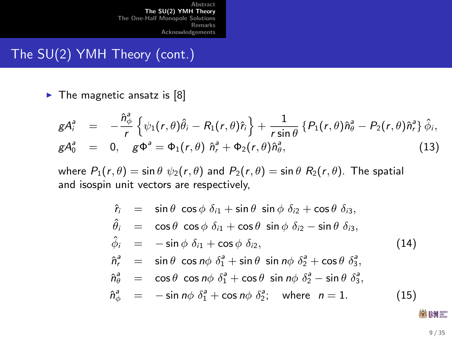### The SU(2) YMH Theory (cont.)

 $\blacktriangleright$  The magnetic ansatz is [\[8\]](#page-33-2)

$$
gA_i^a = -\frac{\hat{n}_{\phi}^a}{r} \left\{ \psi_1(r,\theta)\hat{\theta}_i - R_1(r,\theta)\hat{r}_i \right\} + \frac{1}{r\sin\theta} \left\{ P_1(r,\theta)\hat{n}_{\theta}^a - P_2(r,\theta)\hat{n}_r^a \right\} \hat{\phi}_i, gA_0^a = 0, \quad g\Phi^a = \Phi_1(r,\theta) \hat{n}_r^a + \Phi_2(r,\theta)\hat{n}_{\theta}^a,
$$
 (13)

where  $P_1(r, \theta) = \sin \theta \psi_2(r, \theta)$  and  $P_2(r, \theta) = \sin \theta R_2(r, \theta)$ . The spatial and isospin unit vectors are respectively,

<span id="page-8-0"></span>
$$
\hat{r}_i = \sin \theta \cos \phi \, \delta_{i1} + \sin \theta \, \sin \phi \, \delta_{i2} + \cos \theta \, \delta_{i3},
$$
\n
$$
\hat{\theta}_i = \cos \theta \cos \phi \, \delta_{i1} + \cos \theta \, \sin \phi \, \delta_{i2} - \sin \theta \, \delta_{i3},
$$
\n
$$
\hat{\phi}_i = -\sin \phi \, \delta_{i1} + \cos \phi \, \delta_{i2},
$$
\n
$$
\hat{n}_r^2 = \sin \theta \, \cos n\phi \, \delta_1^2 + \sin \theta \, \sin n\phi \, \delta_2^2 + \cos \theta \, \delta_3^2,
$$
\n
$$
\hat{n}_\theta^2 = \cos \theta \, \cos n\phi \, \delta_1^2 + \cos \theta \, \sin n\phi \, \delta_2^2 - \sin \theta \, \delta_3^2,
$$
\n
$$
\hat{n}_\phi^2 = -\sin n\phi \, \delta_1^2 + \cos n\phi \, \delta_2^2; \text{ where } n = 1.
$$
\n(15)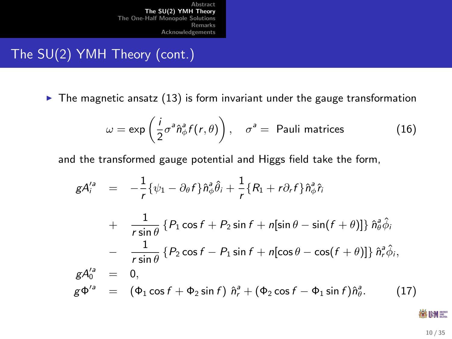## The SU(2) YMH Theory (cont.)

 $\blacktriangleright$  The magnetic ansatz [\(13\)](#page-8-0) is form invariant under the gauge transformation

$$
\omega = \exp\left(\frac{i}{2}\sigma^a \hat{n}_{\phi}^a f(r,\theta)\right), \quad \sigma^a = \text{ Pauli matrices} \tag{16}
$$

and the transformed gauge potential and Higgs field take the form,

$$
gA_i^{'a} = -\frac{1}{r} \{\psi_1 - \partial_{\theta} f\} \hat{n}_{\phi}^a \hat{\theta}_i + \frac{1}{r} \{R_1 + r\partial_r f\} \hat{n}_{\phi}^a \hat{r}_i
$$
  
+ 
$$
\frac{1}{r \sin \theta} \{P_1 \cos f + P_2 \sin f + n[\sin \theta - \sin(f + \theta)]\} \hat{n}_{\phi}^a \hat{\phi}_i
$$
  
- 
$$
\frac{1}{r \sin \theta} \{P_2 \cos f - P_1 \sin f + n[\cos \theta - \cos(f + \theta)]\} \hat{n}_r^a \hat{\phi}_i,
$$
  

$$
gA_0^{'a} = 0,
$$
  

$$
g\Phi^{'a} = (\Phi_1 \cos f + \Phi_2 \sin f) \hat{n}_r^a + (\Phi_2 \cos f - \Phi_1 \sin f) \hat{n}_{\theta}^a.
$$
 (17)

<span id="page-9-0"></span>**総UM** 需

10 / 35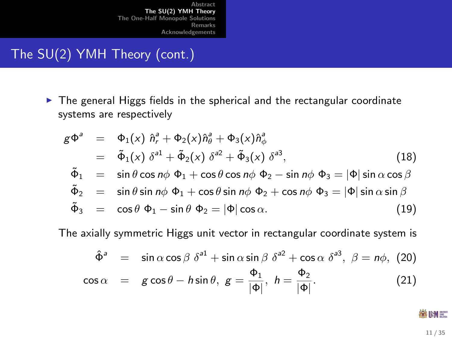# The SU(2) YMH Theory (cont.)

 $\triangleright$  The general Higgs fields in the spherical and the rectangular coordinate systems are respectively

$$
g\Phi^a = \Phi_1(x) \hat{n}_r^2 + \Phi_2(x) \hat{n}_\theta^3 + \Phi_3(x) \hat{n}_\phi^3
$$
  
\n
$$
= \tilde{\Phi}_1(x) \delta^{a1} + \tilde{\Phi}_2(x) \delta^{a2} + \tilde{\Phi}_3(x) \delta^{a3},
$$
\n(18)  
\n
$$
\tilde{\Phi}_1 = \sin \theta \cos n\phi \Phi_1 + \cos \theta \cos n\phi \Phi_2 - \sin n\phi \Phi_3 = |\Phi| \sin \alpha \cos \beta
$$
  
\n
$$
\tilde{\Phi}_2 = \sin \theta \sin n\phi \Phi_1 + \cos \theta \sin n\phi \Phi_2 + \cos n\phi \Phi_3 = |\Phi| \sin \alpha \sin \beta
$$
  
\n
$$
\tilde{\Phi}_3 = \cos \theta \Phi_1 - \sin \theta \Phi_2 = |\Phi| \cos \alpha.
$$
\n(19)

The axially symmetric Higgs unit vector in rectangular coordinate system is

$$
\hat{\Phi}^a = \sin \alpha \cos \beta \ \delta^{a1} + \sin \alpha \sin \beta \ \delta^{a2} + \cos \alpha \ \delta^{a3}, \ \beta = n\phi, \ (20)
$$
  

$$
\cos \alpha = g \cos \theta - h \sin \theta, \ g = \frac{\Phi_1}{|\Phi|}, \ h = \frac{\Phi_2}{|\Phi|}. \tag{21}
$$

**総UM** 需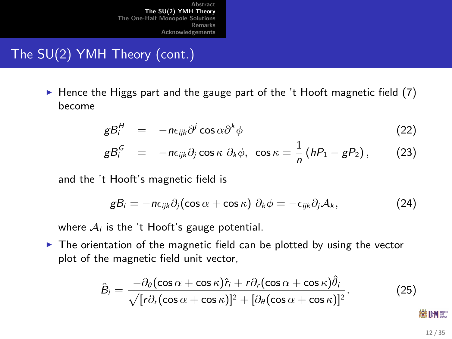# The SU(2) YMH Theory (cont.)

 $\blacktriangleright$  Hence the Higgs part and the gauge part of the 't Hooft magnetic field [\(7\)](#page-5-0) become

$$
gB_i^H = -n\epsilon_{ijk}\partial^j\cos\alpha\partial^k\phi \qquad (22)
$$

$$
gB_i^G = -n\epsilon_{ijk}\partial_j\cos\kappa\ \partial_k\phi,\ \cos\kappa=\frac{1}{n}\left(hP_1-gP_2\right),\qquad(23)
$$

and the 't Hooft's magnetic field is

$$
gB_i = -n\epsilon_{ijk}\partial_j(\cos\alpha + \cos\kappa)\,\partial_k\phi = -\epsilon_{ijk}\partial_j\mathcal{A}_k,\tag{24}
$$

where  $A_i$  is the 't Hooft's gauge potential.

 $\blacktriangleright$  The orientation of the magnetic field can be plotted by using the vector plot of the magnetic field unit vector,

$$
\hat{B}_i = \frac{-\partial_\theta(\cos\alpha + \cos\kappa)\hat{r}_i + r\partial_r(\cos\alpha + \cos\kappa)\hat{\theta}_i}{\sqrt{[r\partial_r(\cos\alpha + \cos\kappa)]^2 + [\partial_\theta(\cos\alpha + \cos\kappa)]^2}}.
$$
(25)

<span id="page-11-1"></span><span id="page-11-0"></span>12 / 35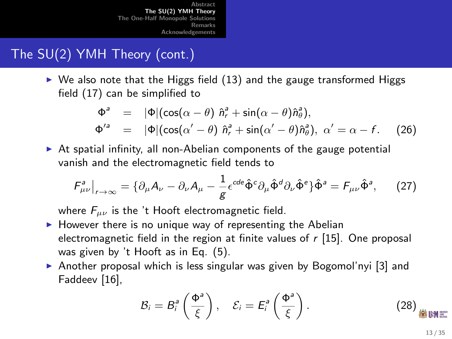# The SU(2) YMH Theory (cont.)

 $\triangleright$  We also note that the Higgs field [\(13\)](#page-8-0) and the gauge transformed Higgs field [\(17\)](#page-9-0) can be simplified to

$$
\Phi^a = |\Phi|(\cos(\alpha - \theta) \hat{n}_r^a + \sin(\alpha - \theta) \hat{n}_\theta^a),
$$
  
\n
$$
\Phi'^a = |\Phi|(\cos(\alpha' - \theta) \hat{n}_r^a + \sin(\alpha' - \theta) \hat{n}_\theta^a), \ \alpha' = \alpha - f. \tag{26}
$$

 $\triangleright$  At spatial infinity, all non-Abelian components of the gauge potential vanish and the electromagnetic field tends to

$$
F_{\mu\nu}^a|_{r\to\infty} = \{ \partial_\mu A_\nu - \partial_\nu A_\mu - \frac{1}{g} \epsilon^{cde} \hat{\Phi}^c \partial_\mu \hat{\Phi}^d \partial_\nu \hat{\Phi}^e \} \hat{\Phi}^a = F_{\mu\nu} \hat{\Phi}^a, \quad (27)
$$

where  $F_{\mu\nu}$  is the 't Hooft electromagnetic field.

- $\blacktriangleright$  However there is no unique way of representing the Abelian electromagnetic field in the region at finite values of  $r$  [\[15\]](#page-34-1). One proposal was given by 't Hooft as in Eq. [\(5\)](#page-4-0).
- $\triangleright$  Another proposal which is less singular was given by Bogomol'nyi [\[3\]](#page-32-1) and Faddeev [\[16\]](#page-34-2),

<span id="page-12-0"></span>
$$
\mathcal{B}_i = B_i^a \left( \frac{\Phi^a}{\xi} \right), \quad \mathcal{E}_i = E_i^a \left( \frac{\Phi^a}{\xi} \right). \tag{28}
$$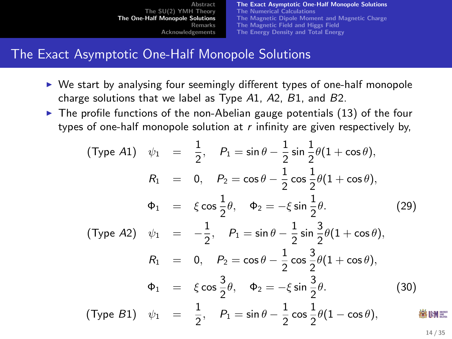[The Exact Asymptotic One-Half Monopole Solutions](#page-13-0) [The Numerical Calculations](#page-16-0) [The Magnetic Dipole Moment and Magnetic Charge](#page-19-0) [The Magnetic Field and Higgs Field](#page-24-0) [The Energy Density and Total Energy](#page-28-0)

### The Exact Asymptotic One-Half Monopole Solutions

- $\triangleright$  We start by analysing four seemingly different types of one-half monopole charge solutions that we label as Type A1, A2, B1, and B2.
- $\triangleright$  The profile functions of the non-Abelian gauge potentials [\(13\)](#page-8-0) of the four types of one-half monopole solution at  $r$  infinity are given respectively by,

(Type A1)

\n
$$
\psi_1 = \frac{1}{2}, \quad P_1 = \sin \theta - \frac{1}{2} \sin \frac{1}{2} \theta (1 + \cos \theta),
$$
\n
$$
R_1 = 0, \quad P_2 = \cos \theta - \frac{1}{2} \cos \frac{1}{2} \theta (1 + \cos \theta),
$$
\n
$$
\Phi_1 = \xi \cos \frac{1}{2} \theta, \quad \Phi_2 = -\xi \sin \frac{1}{2} \theta.
$$
\n(Type A2)

\n
$$
\psi_1 = -\frac{1}{2}, \quad P_1 = \sin \theta - \frac{1}{2} \sin \frac{3}{2} \theta (1 + \cos \theta),
$$
\n
$$
R_1 = 0, \quad P_2 = \cos \theta - \frac{1}{2} \cos \frac{3}{2} \theta (1 + \cos \theta),
$$
\n
$$
\Phi_1 = \xi \cos \frac{3}{2} \theta, \quad \Phi_2 = -\xi \sin \frac{3}{2} \theta.
$$
\n(Type B1)

\n
$$
\psi_1 = \frac{1}{2}, \quad P_1 = \sin \theta - \frac{1}{2} \cos \frac{1}{2} \theta (1 - \cos \theta),
$$
\nWhat is the following result.

<span id="page-13-1"></span><span id="page-13-0"></span>14 / 35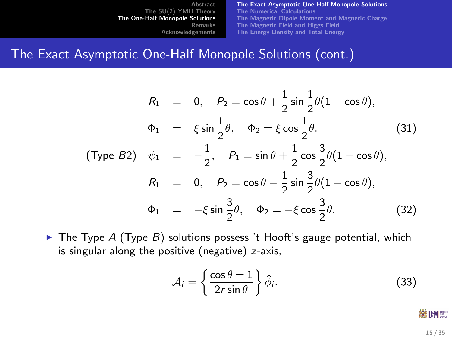[The Exact Asymptotic One-Half Monopole Solutions](#page-13-0) [The Numerical Calculations](#page-16-0) [The Magnetic Dipole Moment and Magnetic Charge](#page-19-0) [The Magnetic Field and Higgs Field](#page-24-0) [The Energy Density and Total Energy](#page-28-0)

### The Exact Asymptotic One-Half Monopole Solutions (cont.)

$$
R_1 = 0, \quad P_2 = \cos \theta + \frac{1}{2} \sin \frac{1}{2} \theta (1 - \cos \theta),
$$
  
\n
$$
\Phi_1 = \xi \sin \frac{1}{2} \theta, \quad \Phi_2 = \xi \cos \frac{1}{2} \theta.
$$
(31)  
\n
$$
(Type B2) \quad \psi_1 = -\frac{1}{2}, \quad P_1 = \sin \theta + \frac{1}{2} \cos \frac{3}{2} \theta (1 - \cos \theta),
$$
  
\n
$$
R_1 = 0, \quad P_2 = \cos \theta - \frac{1}{2} \sin \frac{3}{2} \theta (1 - \cos \theta),
$$
  
\n
$$
\Phi_1 = -\xi \sin \frac{3}{2} \theta, \quad \Phi_2 = -\xi \cos \frac{3}{2} \theta.
$$
(32)

 $\triangleright$  The Type A (Type B) solutions possess 't Hooft's gauge potential, which is singular along the positive (negative) z-axis,

$$
\mathcal{A}_i = \left\{ \frac{\cos \theta \pm 1}{2r \sin \theta} \right\} \hat{\phi}_i.
$$
 (33)

<span id="page-14-0"></span>- 激明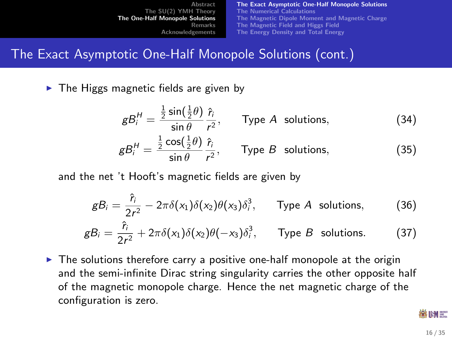[The Exact Asymptotic One-Half Monopole Solutions](#page-13-0) [The Numerical Calculations](#page-16-0) [The Magnetic Dipole Moment and Magnetic Charge](#page-19-0) [The Magnetic Field and Higgs Field](#page-24-0) [The Energy Density and Total Energy](#page-28-0)

### The Exact Asymptotic One-Half Monopole Solutions (cont.)

 $\triangleright$  The Higgs magnetic fields are given by

$$
gB_i^H = \frac{\frac{1}{2}\sin(\frac{1}{2}\theta)}{\sin\theta} \frac{\hat{r}_i}{r^2}, \qquad \text{Type } A \text{ solutions}, \tag{34}
$$

$$
gB_i^H = \frac{\frac{1}{2}\cos(\frac{1}{2}\theta)}{\sin\theta} \frac{\hat{r}_i}{r^2}, \qquad \text{Type } B \text{ solutions}, \tag{35}
$$

and the net 't Hooft's magnetic fields are given by

$$
gB_i = \frac{\hat{r}_i}{2r^2} - 2\pi\delta(x_1)\delta(x_2)\theta(x_3)\delta_i^3, \qquad \text{Type } A \text{ solutions}, \qquad (36)
$$
  

$$
gB_i = \frac{\hat{r}_i}{2r^2} + 2\pi\delta(x_1)\delta(x_2)\theta(-x_3)\delta_i^3, \qquad \text{Type } B \text{ solutions.} \qquad (37)
$$

 $\triangleright$  The solutions therefore carry a positive one-half monopole at the origin and the semi-infinite Dirac string singularity carries the other opposite half of the magnetic monopole charge. Hence the net magnetic charge of the configuration is zero.

线IHM =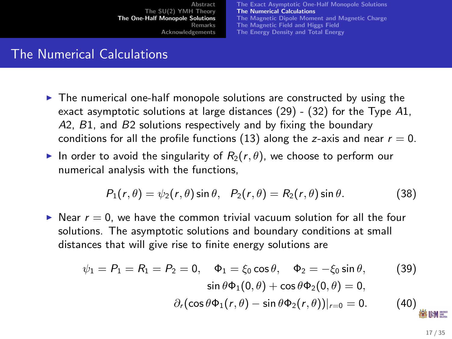[The Exact Asymptotic One-Half Monopole Solutions](#page-13-0) [The Numerical Calculations](#page-16-0) [The Magnetic Dipole Moment and Magnetic Charge](#page-19-0) [The Magnetic Field and Higgs Field](#page-24-0) [The Energy Density and Total Energy](#page-28-0)

### The Numerical Calculations

- $\blacktriangleright$  The numerical one-half monopole solutions are constructed by using the exact asymptotic solutions at large distances  $(29)$  -  $(32)$  for the Type A1, A2, B1, and B2 solutions respectively and by fixing the boundary conditions for all the profile functions [\(13\)](#page-8-0) along the z-axis and near  $r = 0$ .
- In order to avoid the singularity of  $R_2(r, \theta)$ , we choose to perform our numerical analysis with the functions,

<span id="page-16-2"></span><span id="page-16-1"></span>
$$
P_1(r,\theta) = \psi_2(r,\theta)\sin\theta, \quad P_2(r,\theta) = R_2(r,\theta)\sin\theta. \tag{38}
$$

 $\triangleright$  Near  $r = 0$ , we have the common trivial vacuum solution for all the four solutions. The asymptotic solutions and boundary conditions at small distances that will give rise to finite energy solutions are

<span id="page-16-0"></span>
$$
\psi_1 = P_1 = R_1 = P_2 = 0, \quad \Phi_1 = \xi_0 \cos \theta, \quad \Phi_2 = -\xi_0 \sin \theta,
$$
 (39)  
\n
$$
\sin \theta \Phi_1(0, \theta) + \cos \theta \Phi_2(0, \theta) = 0,
$$
  
\n
$$
\partial_r(\cos \theta \Phi_1(r, \theta) - \sin \theta \Phi_2(r, \theta))|_{r=0} = 0.
$$
 (40)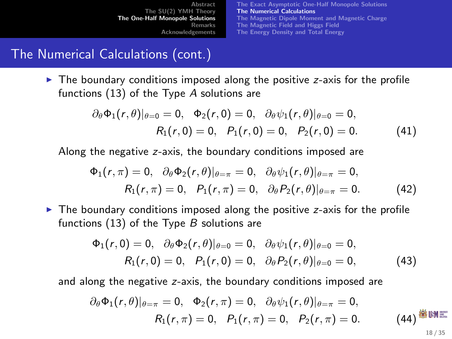<span id="page-17-0"></span>[The Exact Asymptotic One-Half Monopole Solutions](#page-13-0) [The Numerical Calculations](#page-16-0) [The Magnetic Dipole Moment and Magnetic Charge](#page-19-0) [The Magnetic Field and Higgs Field](#page-24-0) [The Energy Density and Total Energy](#page-28-0)

## The Numerical Calculations (cont.)

 $\blacktriangleright$  The boundary conditions imposed along the positive z-axis for the profile functions [\(13\)](#page-8-0) of the Type A solutions are

$$
\partial_{\theta} \Phi_1(r,\theta)|_{\theta=0} = 0, \quad \Phi_2(r,0) = 0, \quad \partial_{\theta} \psi_1(r,\theta)|_{\theta=0} = 0, \nR_1(r,0) = 0, \quad P_1(r,0) = 0, \quad P_2(r,0) = 0.
$$
\n(41)

Along the negative z-axis, the boundary conditions imposed are

$$
\Phi_1(r,\pi) = 0, \quad \partial_\theta \Phi_2(r,\theta)|_{\theta=\pi} = 0, \quad \partial_\theta \psi_1(r,\theta)|_{\theta=\pi} = 0, \nR_1(r,\pi) = 0, \quad P_1(r,\pi) = 0, \quad \partial_\theta P_2(r,\theta)|_{\theta=\pi} = 0.
$$
\n(42)

 $\triangleright$  The boundary conditions imposed along the positive z-axis for the profile functions  $(13)$  of the Type B solutions are

<span id="page-17-1"></span>
$$
\Phi_1(r,0) = 0, \quad \partial_{\theta} \Phi_2(r,\theta)|_{\theta=0} = 0, \quad \partial_{\theta} \psi_1(r,\theta)|_{\theta=0} = 0, R_1(r,0) = 0, \quad P_1(r,0) = 0, \quad \partial_{\theta} P_2(r,\theta)|_{\theta=0} = 0,
$$
 (43)

and along the negative z-axis, the boundary conditions imposed are

<span id="page-17-2"></span>
$$
\partial_{\theta}\Phi_1(r,\theta)|_{\theta=\pi}=0, \quad \Phi_2(r,\pi)=0, \quad \partial_{\theta}\psi_1(r,\theta)|_{\theta=\pi}=0, \nR_1(r,\pi)=0, \quad P_1(r,\pi)=0, \quad P_2(r,\pi)=0.
$$
\n(44)  $\overset{\text{def}}{\otimes}$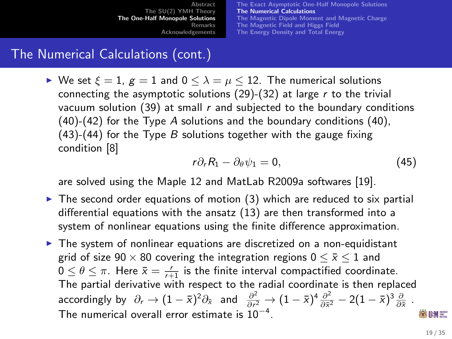[The Exact Asymptotic One-Half Monopole Solutions](#page-13-0) [The Numerical Calculations](#page-16-0) [The Magnetic Dipole Moment and Magnetic Charge](#page-19-0) [The Magnetic Field and Higgs Field](#page-24-0) [The Energy Density and Total Energy](#page-28-0)

# The Numerical Calculations (cont.)

 $\triangleright$  We set  $\xi = 1$ ,  $g = 1$  and  $0 \le \lambda = \mu \le 12$ . The numerical solutions connecting the asymptotic solutions  $(29)-(32)$  $(29)-(32)$  $(29)-(32)$  at large r to the trivial vacuum solution  $(39)$  at small r and subjected to the boundary conditions  $(40)-(42)$  $(40)-(42)$  $(40)-(42)$  for the Type A solutions and the boundary conditions  $(40)$ ,  $(43)-(44)$  $(43)-(44)$  $(43)-(44)$  for the Type B solutions together with the gauge fixing condition [\[8\]](#page-33-2)

$$
r\partial_r R_1 - \partial_\theta \psi_1 = 0, \qquad (45)
$$

are solved using the Maple 12 and MatLab R2009a softwares [\[19\]](#page-34-3).

- $\triangleright$  The second order equations of motion [\(3\)](#page-4-1) which are reduced to six partial differential equations with the ansatz [\(13\)](#page-8-0) are then transformed into a system of nonlinear equations using the finite difference approximation.
- $\triangleright$  The system of nonlinear equations are discretized on a non-equidistant grid of size  $90 \times 80$  covering the integration regions  $0 \leq \bar{x} \leq 1$  and  $0 \leq \theta \leq \pi$ . Here  $\bar{x} = \frac{r}{r+1}$  is the finite interval compactified coordinate. The partial derivative with respect to the radial coordinate is then replaced accordingly by  $\partial_r \to (1-\bar{x})^2 \partial_{\bar{x}}$  and  $\frac{\partial^2}{\partial r^2}$  $\frac{\partial^2}{\partial r^2}\rightarrow (1-\bar{x})^4\frac{\partial^2}{\partial \bar{x}^2}$  $\frac{\partial^2}{\partial \bar{x}^2} - 2(1-\bar{x})^3 \frac{\partial}{\partial \bar{x}}$ . The numerical overall error estimate is  $10^{-4}$ . 88 IHM 387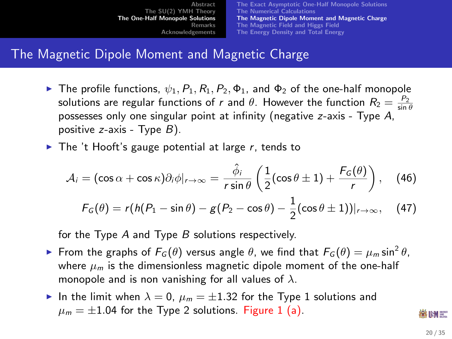[The Exact Asymptotic One-Half Monopole Solutions](#page-13-0) [The Numerical Calculations](#page-16-0) [The Magnetic Dipole Moment and Magnetic Charge](#page-19-0) [The Magnetic Field and Higgs Field](#page-24-0) [The Energy Density and Total Energy](#page-28-0)

### The Magnetic Dipole Moment and Magnetic Charge

- **Figure 1** The profile functions,  $\psi_1$ ,  $P_1$ ,  $P_2$ ,  $\phi_1$ , and  $\phi_2$  of the one-half monopole solutions are regular functions of r and  $\theta$ . However the function  $R_2 = \frac{P_2}{\sin \theta}$ possesses only one singular point at infinity (negative z-axis - Type A, positive  $z$ -axis - Type  $B$ ).
- $\triangleright$  The 't Hooft's gauge potential at large r, tends to

$$
\mathcal{A}_i = (\cos \alpha + \cos \kappa) \partial_i \phi|_{r \to \infty} = \frac{\hat{\phi}_i}{r \sin \theta} \left( \frac{1}{2} (\cos \theta \pm 1) + \frac{F_G(\theta)}{r} \right), \quad (46)
$$

<span id="page-19-0"></span>
$$
F_G(\theta) = r(h(P_1 - \sin \theta) - g(P_2 - \cos \theta) - \frac{1}{2}(\cos \theta \pm 1))|_{r \to \infty}, \quad (47)
$$

for the Type  $A$  and Type  $B$  solutions respectively.

- ► From the graphs of  $F_G(\theta)$  versus angle  $\theta$ , we find that  $F_G(\theta) = \mu_m \sin^2 \theta$ , where  $\mu_m$  is the dimensionless magnetic dipole moment of the one-half monopole and is non vanishing for all values of  $\lambda$ .
- In the limit when  $\lambda = 0$ ,  $\mu_m = \pm 1.32$  for the Type 1 solutions and  $\mu_m = \pm 1.04$  $\mu_m = \pm 1.04$  $\mu_m = \pm 1.04$  for the Type 2 solutions. Figure 1 (a).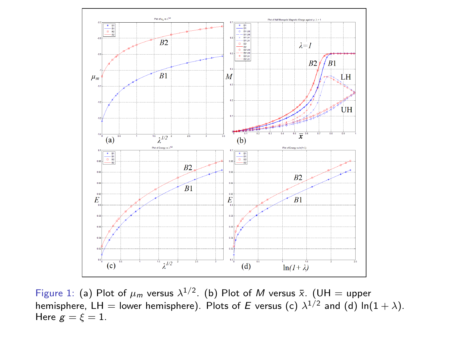

<span id="page-20-0"></span>Figure 1: (a) Plot of  $\mu_m$  versus  $\lambda^{1/2}$ . (b) Plot of M versus  $\bar{x}$ . (UH = upper hemisphere, LH  $=$  lower hemisphere). Plots of  $E$  versus (c)  $\lambda^{1/2}$  and (d) ln( $1+\lambda$ ). Here  $g = \xi = 1$ .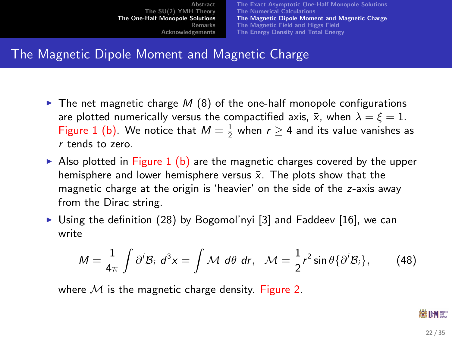[The Exact Asymptotic One-Half Monopole Solutions](#page-13-0) [The Numerical Calculations](#page-16-0) [The Magnetic Dipole Moment and Magnetic Charge](#page-19-0) [The Magnetic Field and Higgs Field](#page-24-0) [The Energy Density and Total Energy](#page-28-0)

### The Magnetic Dipole Moment and Magnetic Charge

- $\triangleright$  The net magnetic charge M [\(8\)](#page-5-1) of the one-half monopole configurations are plotted numerically versus the compactified axis,  $\bar{x}$ , when  $\lambda = \xi = 1$ . Figure [1](#page-20-0) (b). We notice that  $M = \frac{1}{2}$  when  $r \ge 4$  and its value vanishes as r tends to zero.
- Also plotted in Figure [1](#page-20-0) (b) are the magnetic charges covered by the upper hemisphere and lower hemisphere versus  $\bar{x}$ . The plots show that the magnetic charge at the origin is 'heavier' on the side of the z-axis away from the Dirac string.
- $\triangleright$  Using the definition [\(28\)](#page-12-0) by Bogomol'nyi [\[3\]](#page-32-1) and Faddeev [\[16\]](#page-34-2), we can write

$$
M=\frac{1}{4\pi}\int \partial^i \mathcal{B}_i \ d^3x=\int \mathcal{M} \ d\theta \ dr, \quad \mathcal{M}=\frac{1}{2}r^2\sin\theta\{\partial^i \mathcal{B}_i\},\qquad (48)
$$

where  $M$  is the magnetic charge density. Figure [2.](#page-22-0)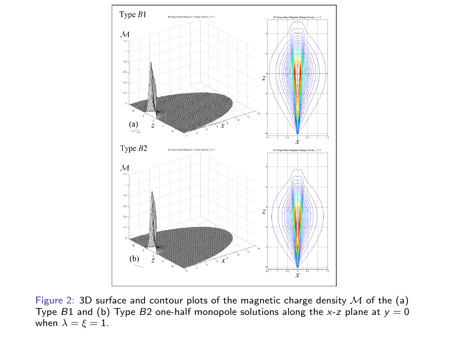

<span id="page-22-0"></span>Figure 2: 3D surface and contour plots of the magnetic charge density  $M$  of the (a) Type B1 and (b) Type B2 one-half monopole solutions along the x-z plane at  $y = 0$ when  $\lambda = \xi = 1$ .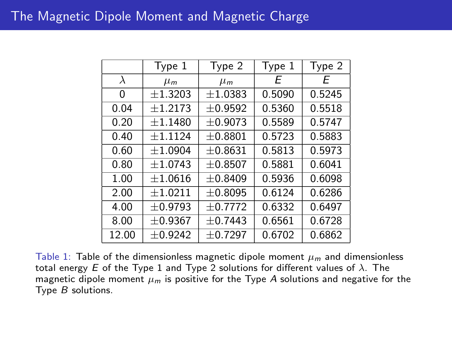|       | Type 1       | Type 2    | Type 1 | Type 2 |
|-------|--------------|-----------|--------|--------|
| λ     | $\mu_m$      | $\mu_m$   | F      | F      |
| 0     | $+1.3203$    | ±1.0383   | 0.5090 | 0.5245 |
| 0.04  | $+1.2173$    | $+0.9592$ | 0.5360 | 0.5518 |
| 0.20  | $+1.1480$    | ±0.9073   | 0.5589 | 0.5747 |
| 0.40  | $+1.1124$    | $+0.8801$ | 0.5723 | 0.5883 |
| 0.60  | $+1.0904$    | $+0.8631$ | 0.5813 | 0.5973 |
| 0.80  | $+1.0743$    | $+0.8507$ | 0.5881 | 0.6041 |
| 1.00  | $+1.0616$    | $+0.8409$ | 0.5936 | 0.6098 |
| 2.00  | $\pm 1.0211$ | ±0.8095   | 0.6124 | 0.6286 |
| 4.00  | ±0.9793      | ±0.7772   | 0.6332 | 0.6497 |
| 8.00  | ±0.9367      | $+0.7443$ | 0.6561 | 0.6728 |
| 12.00 | ±0.9242      | ±0.7297   | 0.6702 | 0.6862 |

Table 1: Table of the dimensionless magnetic dipole moment  $\mu_m$  and dimensionless total energy E of the Type 1 and Type 2 solutions for different values of  $\lambda$ . The magnetic dipole moment  $\mu_m$  is positive for the Type A solutions and negative for the Type B solutions.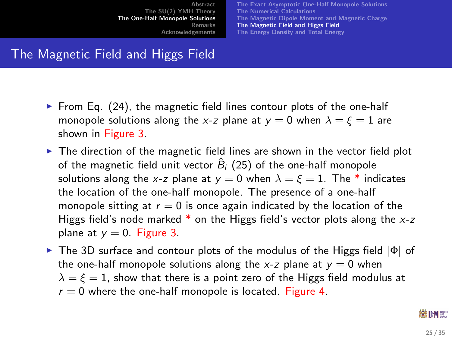[The Exact Asymptotic One-Half Monopole Solutions](#page-13-0) [The Numerical Calculations](#page-16-0) [The Magnetic Dipole Moment and Magnetic Charge](#page-19-0) [The Magnetic Field and Higgs Field](#page-24-0) [The Energy Density and Total Energy](#page-28-0)

# The Magnetic Field and Higgs Field

- From Eq.  $(24)$ , the magnetic field lines contour plots of the one-half monopole solutions along the x-z plane at  $y = 0$  when  $\lambda = \xi = 1$  are shown in Figure [3.](#page-26-0)
- $\triangleright$  The direction of the magnetic field lines are shown in the vector field plot of the magnetic field unit vector  $\hat{B}_i$  [\(25\)](#page-11-1) of the one-half monopole solutions along the x-z plane at  $y = 0$  when  $\lambda = \xi = 1$ . The \* indicates the location of the one-half monopole. The presence of a one-half monopole sitting at  $r = 0$  is once again indicated by the location of the Higgs field's node marked  $*$  on the Higgs field's vector plots along the  $x-z$ plane at  $y = 0$ . Figure [3.](#page-26-0)
- **F** The 3D surface and contour plots of the modulus of the Higgs field  $|\Phi|$  of the one-half monopole solutions along the x-z plane at  $y = 0$  when  $\lambda = \xi = 1$ , show that there is a point zero of the Higgs field modulus at  $r = 0$  where the one-half monopole is located. Figure [4.](#page-27-0)

#### <span id="page-24-0"></span>88 IHM 387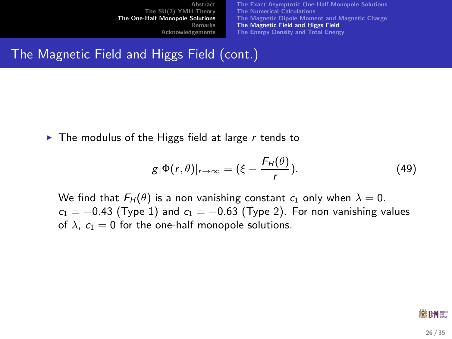[The Exact Asymptotic One-Half Monopole Solutions](#page-13-0) [The Numerical Calculations](#page-16-0) [The Magnetic Dipole Moment and Magnetic Charge](#page-19-0) [The Magnetic Field and Higgs Field](#page-24-0) [The Energy Density and Total Energy](#page-28-0)

### The Magnetic Field and Higgs Field (cont.)

 $\triangleright$  The modulus of the Higgs field at large r tends to

$$
g|\Phi(r,\theta)|_{r\to\infty} = (\xi - \frac{F_H(\theta)}{r}).
$$
\n(49)

We find that  $F_H(\theta)$  is a non vanishing constant  $c_1$  only when  $\lambda = 0$ .  $c_1 = -0.43$  (Type 1) and  $c_1 = -0.63$  (Type 2). For non vanishing values of  $\lambda$ ,  $c_1 = 0$  for the one-half monopole solutions.

#### ※HM #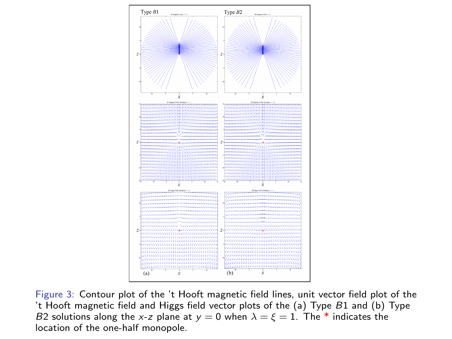

<span id="page-26-0"></span>Figure 3: Contour plot of the 't Hooft magnetic field lines, unit vector field plot of the 't Hooft magnetic field and Higgs field vector plots of the (a) Type B1 and (b) Type B2 solutions along the x-z plane at  $y = 0$  when  $\lambda = \xi = 1$ . The \* indicates the location of the one-half monopole.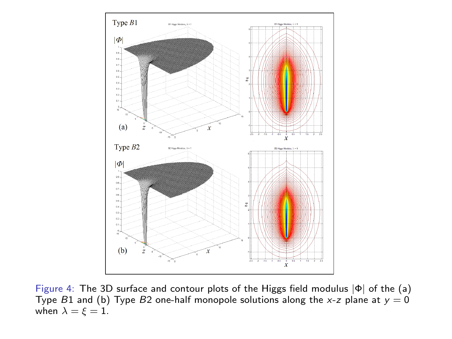

<span id="page-27-0"></span>Figure 4: The 3D surface and contour plots of the Higgs field modulus |Φ| of the (a) Type B1 and (b) Type B2 one-half monopole solutions along the x-z plane at  $y = 0$ when  $\lambda = \xi = 1$ .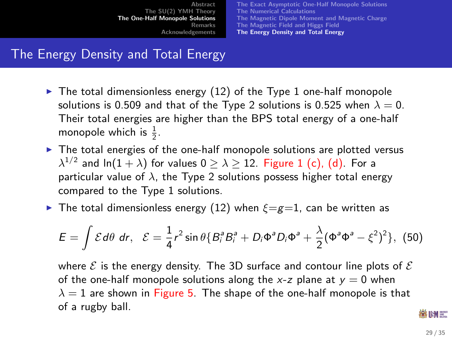[The Exact Asymptotic One-Half Monopole Solutions](#page-13-0) [The Numerical Calculations](#page-16-0) [The Magnetic Dipole Moment and Magnetic Charge](#page-19-0) [The Magnetic Field and Higgs Field](#page-24-0) [The Energy Density and Total Energy](#page-28-0)

## The Energy Density and Total Energy

- $\triangleright$  The total dimensionless energy [\(12\)](#page-7-1) of the Type 1 one-half monopole solutions is 0.509 and that of the Type 2 solutions is 0.525 when  $\lambda = 0$ . Their total energies are higher than the BPS total energy of a one-half monopole which is  $\frac{1}{2}$ .
- $\triangleright$  The total energies of the one-half monopole solutions are plotted versus  $\lambda^{1/2}$  and ln $(1+\lambda)$  for values  $0\geq\lambda\geq12.$  Figure  $1$  (c), (d). For a particular value of  $\lambda$ , the Type 2 solutions possess higher total energy compared to the Type 1 solutions.
- **If** The total dimensionless energy [\(12\)](#page-7-1) when  $\xi = g = 1$ , can be written as

$$
E = \int \mathcal{E} d\theta \, dr, \quad \mathcal{E} = \frac{1}{4} r^2 \sin \theta \{ B_i^a B_i^a + D_i \Phi^a D_i \Phi^a + \frac{\lambda}{2} (\Phi^a \Phi^a - \xi^2)^2 \}, \tag{50}
$$

<span id="page-28-0"></span>where  $\mathcal E$  is the energy density. The 3D surface and contour line plots of  $\mathcal E$ of the one-half monopole solutions along the x-z plane at  $y = 0$  when  $\lambda = 1$  are shown in Figure [5.](#page-29-0) The shape of the one-half monopole is that of a rugby ball.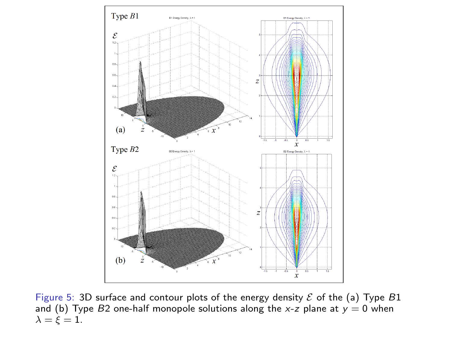

<span id="page-29-0"></span>Figure 5: 3D surface and contour plots of the energy density  $\mathcal E$  of the (a) Type  $B1$ and (b) Type B2 one-half monopole solutions along the x-z plane at  $y = 0$  when  $\lambda = \xi = 1$ .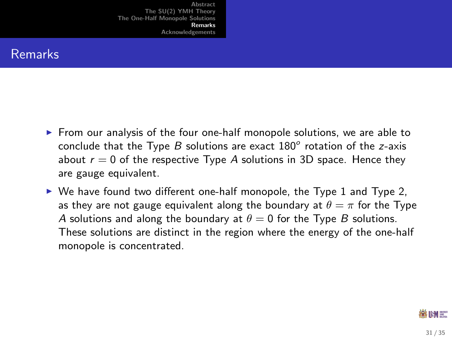### Remarks

- $\blacktriangleright$  From our analysis of the four one-half monopole solutions, we are able to conclude that the Type  $B$  solutions are exact  $180^\circ$  rotation of the z-axis about  $r = 0$  of the respective Type A solutions in 3D space. Hence they are gauge equivalent.
- <span id="page-30-0"></span> $\triangleright$  We have found two different one-half monopole, the Type 1 and Type 2, as they are not gauge equivalent along the boundary at  $\theta = \pi$  for the Type A solutions and along the boundary at  $\theta = 0$  for the Type B solutions. These solutions are distinct in the region where the energy of the one-half monopole is concentrated.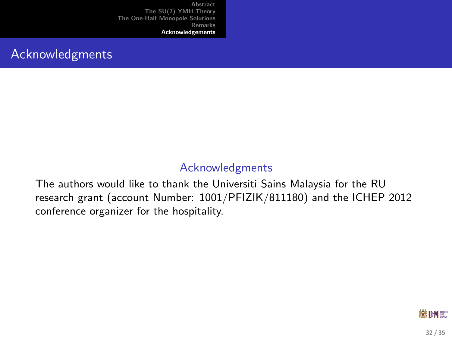### Acknowledgments

### Acknowledgments

The authors would like to thank the Universiti Sains Malaysia for the RU research grant (account Number: 1001/PFIZIK/811180) and the ICHEP 2012 conference organizer for the hospitality.

<span id="page-31-0"></span>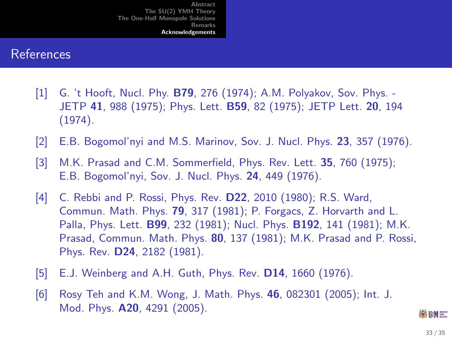#### References

- <span id="page-32-0"></span>[1] G. 't Hooft, Nucl. Phy. **B79**, 276 (1974); A.M. Polyakov, Sov. Phys. -JETP 41, 988 (1975); Phys. Lett. B59, 82 (1975); JETP Lett. 20, 194 (1974).
- [2] E.B. Bogomol'nyi and M.S. Marinov, Sov. J. Nucl. Phys. 23, 357 (1976).
- <span id="page-32-1"></span>[3] M.K. Prasad and C.M. Sommerfield, Phys. Rev. Lett. 35, 760 (1975); E.B. Bogomol'nyi, Sov. J. Nucl. Phys. 24, 449 (1976).
- [4] C. Rebbi and P. Rossi, Phys. Rev. **D22**, 2010 (1980); R.S. Ward, Commun. Math. Phys. 79, 317 (1981); P. Forgacs, Z. Horvarth and L. Palla, Phys. Lett. B99, 232 (1981); Nucl. Phys. B192, 141 (1981); M.K. Prasad, Commun. Math. Phys. 80, 137 (1981); M.K. Prasad and P. Rossi, Phys. Rev. D24, 2182 (1981).
- [5] E.J. Weinberg and A.H. Guth, Phys. Rev. D14, 1660 (1976).
- [6] Rosy Teh and K.M. Wong, J. Math. Phys. 46, 082301 (2005); Int. J. Mod. Phys. A20, 4291 (2005).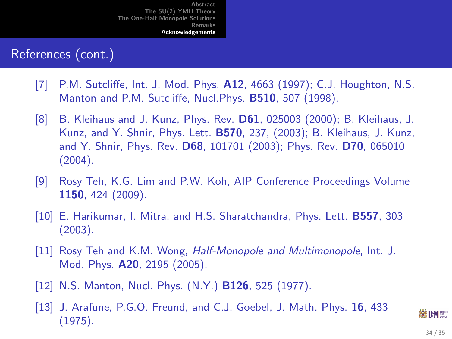### References (cont.)

- [7] P.M. Sutcliffe, Int. J. Mod. Phys. A12, 4663 (1997); C.J. Houghton, N.S. Manton and P.M. Sutcliffe, Nucl.Phys. B510, 507 (1998).
- <span id="page-33-2"></span>[8] B. Kleihaus and J. Kunz, Phys. Rev. D61, 025003 (2000); B. Kleihaus, J. Kunz, and Y. Shnir, Phys. Lett. B570, 237, (2003); B. Kleihaus, J. Kunz, and Y. Shnir, Phys. Rev. D68, 101701 (2003); Phys. Rev. D70, 065010 (2004).
- [9] Rosy Teh, K.G. Lim and P.W. Koh, AIP Conference Proceedings Volume 1150, 424 (2009).
- [10] E. Harikumar, I. Mitra, and H.S. Sharatchandra, Phys. Lett. B557, 303 (2003).
- [11] Rosy Teh and K.M. Wong, Half-Monopole and Multimonopole, Int. J. Mod. Phys. A20, 2195 (2005).
- <span id="page-33-1"></span><span id="page-33-0"></span>[12] N.S. Manton, Nucl. Phys. (N.Y.) **B126**, 525 (1977).
- [13] J. Arafune, P.G.O. Freund, and C.J. Goebel, J. Math. Phys. 16, 433 (1975).

88 IHM 387 34 / 35